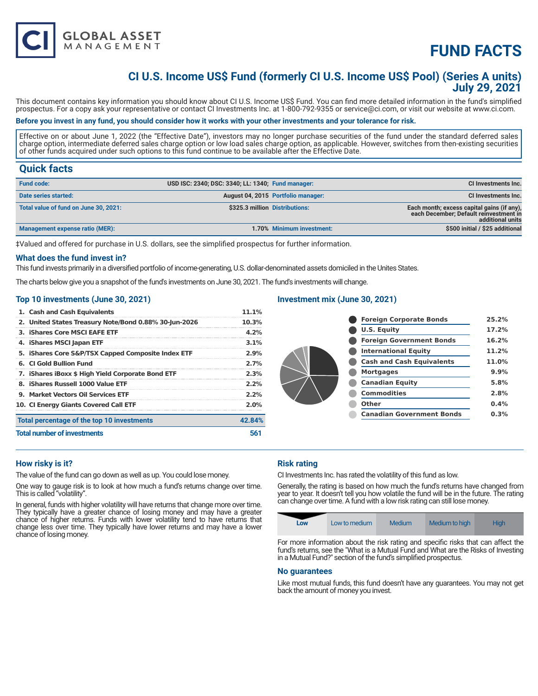

## **CI U.S. Income US\$ Fund (formerly CI U.S. Income US\$ Pool) (Series A units) July 29, 2021**

This document contains key information you should know about CI U.S. Income US\$ Fund. You can find more detailed information in the fund's simplified prospectus. For a copy ask your representative or contact CI Investments Inc. at 1-800-792-9355 or service@ci.com, or visit our website at www.ci.com.

## **Before you invest in any fund, you should consider how it works with your other investments and your tolerance for risk.**

Effective on or about June 1, 2022 (the "Effective Date"), investors may no longer purchase securities of the fund under the standard deferred sales charge option, intermediate deferred sales charge option or low load sales charge option, as applicable. However, switches from then-existing securities of other funds acquired under such options to this fund continue to be available after the Effective Date.

## **Quick facts**

| <b>Fund code:</b>                     | USD ISC: 2340; DSC: 3340; LL: 1340; Fund manager: |                                    | <b>CI Investments Inc.</b>                                                                               |
|---------------------------------------|---------------------------------------------------|------------------------------------|----------------------------------------------------------------------------------------------------------|
| Date series started:                  |                                                   | August 04, 2015 Portfolio manager: | <b>CI Investments Inc.</b>                                                                               |
| Total value of fund on June 30, 2021: | \$325.3 million Distributions:                    |                                    | Each month; excess capital gains (if any),<br>each December; Default reinvestment in<br>additional units |
| Management expense ratio (MER):       |                                                   | 1.70% Minimum investment:          | \$500 initial / \$25 additional                                                                          |

‡Valued and offered for purchase in U.S. dollars, see the simplified prospectus for further information.

#### **What does the fund invest in?**

This fund invests primarily in a diversified portfolio of income-generating, U.S. dollar-denominated assets domiciled in the Unites States.

The charts below give you a snapshot of the fund's investments on June 30, 2021. The fund's investments will change.

### **Top 10 investments (June 30, 2021)**

**GLOBAL ASSET**<br>MANAGEMENT

| 1. Cash and Cash Equivalents                          | 11.1%   |
|-------------------------------------------------------|---------|
| 2. United States Treasury Note/Bond 0.88% 30-Jun-2026 | 10.3%   |
| 3. IShares Core MSCI EAFE ETF                         | 4.2%    |
| 4. iShares MSCI Japan ETF                             | 3.1%    |
| 5. iShares Core S&P/TSX Capped Composite Index ETF    | 2.9%    |
| <b>6. CI Gold Bullion Fund</b>                        | 2.7%    |
| 7. IShares IBoxx \$ High Yield Corporate Bond ETF     | 2.3%    |
| 8. iShares Russell 1000 Value ETF                     | 2.2%    |
| 9. Market Vectors Oil Services ETF                    | 2.2%    |
| 10. CI Energy Giants Covered Call ETF                 | $2.0\%$ |
| Total percentage of the top 10 investments            | 42.84%  |
| <b>Total number of investments</b>                    | 561     |

## **Investment mix (June 30, 2021)**

| <b>Foreign Corporate Bonds</b>   | 25.2% |
|----------------------------------|-------|
| <b>U.S. Equity</b>               | 17.2% |
| <b>Foreign Government Bonds</b>  | 16.2% |
| <b>International Equity</b>      | 11.2% |
| <b>Cash and Cash Equivalents</b> | 11.0% |
| <b>Mortgages</b>                 | 9.9%  |
| <b>Canadian Equity</b>           | 5.8%  |
| <b>Commodities</b>               | 2.8%  |
| Other                            | 0.4%  |
| <b>Canadian Government Bonds</b> | 0.3%  |
|                                  |       |

### **How risky is it?**

The value of the fund can go down as well as up. You could lose money.

One way to gauge risk is to look at how much a fund's returns change over time. This is called "volatility".

In general, funds with higher volatility will have returns that change more over time. They typically have a greater chance of losing money and may have a greater chance of higher returns. Funds with lower volatility tend to have returns that change less over time. They typically have lower returns and may have a lower chance of losing money.

## **Risk rating**

CI Investments Inc. has rated the volatility of this fund as low.

Generally, the rating is based on how much the fund's returns have changed from year to year. It doesn't tell you how volatile the fund will be in the future. The rating can change over time. A fund with a low risk rating can still lose money.



For more information about the risk rating and specific risks that can affect the fund's returns, see the "What is a Mutual Fund and What are the Risks of Investing in a Mutual Fund?" section of the fund's simplified prospectus.

#### **No guarantees**

Like most mutual funds, this fund doesn't have any guarantees. You may not get back the amount of money you invest.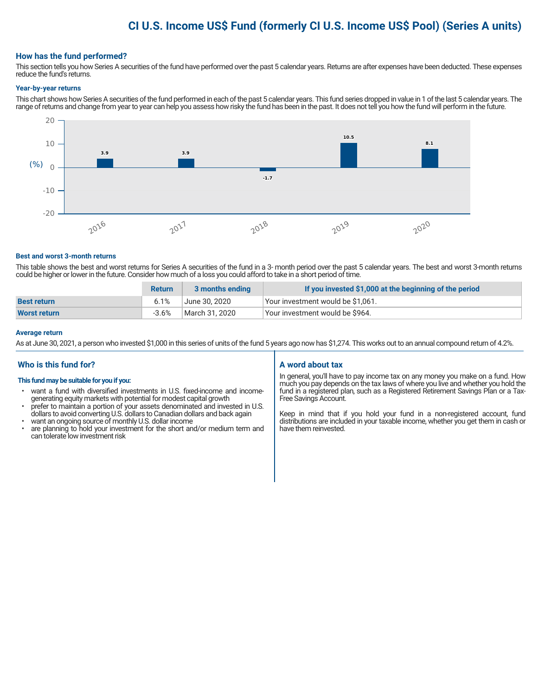## **CI U.S. Income US\$ Fund (formerly CI U.S. Income US\$ Pool) (Series A units)**

### **How has the fund performed?**

This section tells you how Series A securities of the fund have performed over the past 5 calendar years. Returns are after expenses have been deducted. These expenses reduce the fund's returns.

#### **Year-by-year returns**

This chart shows how Series A securities of the fund performed in each of the past 5 calendar years. This fund series dropped in value in 1 of the last 5 calendar years. The range of returns and change from year to year can help you assess how risky the fund has been in the past. It does not tell you how the fund will perform in the future.



#### **Best and worst 3-month returns**

This table shows the best and worst returns for Series A securities of the fund in a 3- month period over the past 5 calendar years. The best and worst 3-month returns could be higher or lower in the future. Consider how much of a loss you could afford to take in a short period of time.

|                     | <b>Return</b> | 3 months ending | If you invested \$1,000 at the beginning of the period |
|---------------------|---------------|-----------------|--------------------------------------------------------|
| <b>Best return</b>  | 6.1%          | June 30. 2020   | Your investment would be \$1,061.                      |
| <b>Worst return</b> | $-3.6\%$      | March 31, 2020  | Your investment would be \$964.                        |

#### **Average return**

As at June 30, 2021, a person who invested \$1,000 in this series of units of the fund 5 years ago now has \$1,274. This works out to an annual compound return of 4.2%.

### **Who is this fund for?**

#### **This fund may be suitable for you if you:**

- want a fund with diversified investments in U.S. fixed-income and incomegenerating equity markets with potential for modest capital growth
- prefer to maintain a portion of your assets denominated and invested in U.S. dollars to avoid converting U.S. dollars to Canadian dollars and back again
- want an ongoing source of monthly U.S. dollar income<br>• are planning to hold your investment for the short an
- are planning to hold your investment for the short and/or medium term and can tolerate low investment risk

### **A word about tax**

In general, you'll have to pay income tax on any money you make on a fund. How much you pay depends on the tax laws of where you live and whether you hold the fund in a registered plan, such as a Registered Retirement Savings Plan or a Tax-Free Savings Account.

Keep in mind that if you hold your fund in a non-registered account, fund distributions are included in your taxable income, whether you get them in cash or have them reinvested.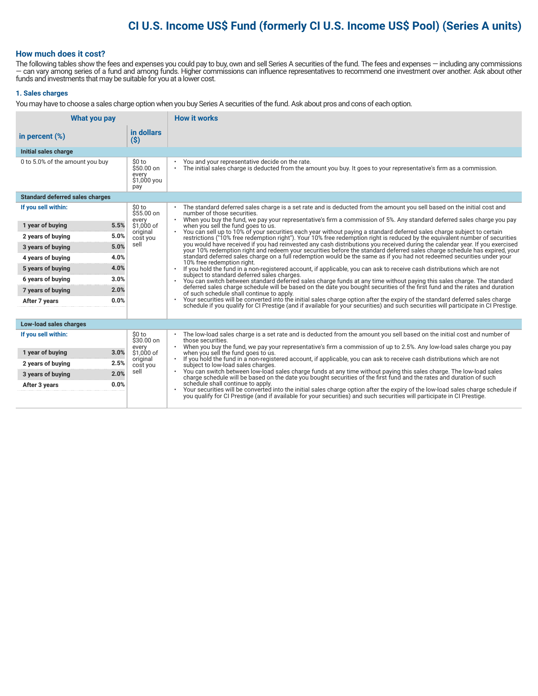# **CI U.S. Income US\$ Fund (formerly CI U.S. Income US\$ Pool) (Series A units)**

### **How much does it cost?**

The following tables show the fees and expenses you could pay to buy, own and sell Series A securities of the fund. The fees and expenses — including any commissions — can vary among series of a fund and among funds. Higher commissions can influence representatives to recommend one investment over another. Ask about other funds and investments that may be suitable for you at a lower cost.

#### **1. Sales charges**

You may have to choose a sales charge option when you buy Series A securities of the fund. Ask about pros and cons of each option.

| What you pay                           |                                                     | <b>How it works</b>                                                                                                                                                                                                                                                               |  |  |
|----------------------------------------|-----------------------------------------------------|-----------------------------------------------------------------------------------------------------------------------------------------------------------------------------------------------------------------------------------------------------------------------------------|--|--|
| in percent $(\%)$                      | in dollars<br>$(\$)$                                |                                                                                                                                                                                                                                                                                   |  |  |
| Initial sales charge                   |                                                     |                                                                                                                                                                                                                                                                                   |  |  |
| 0 to 5.0% of the amount you buy        | \$0 to<br>\$50.00 on<br>every<br>\$1,000 you<br>pay | You and your representative decide on the rate.<br>The initial sales charge is deducted from the amount you buy. It goes to your representative's firm as a commission.<br>$\bullet$                                                                                              |  |  |
| <b>Standard deferred sales charges</b> |                                                     |                                                                                                                                                                                                                                                                                   |  |  |
| If you sell within:                    | \$0 to<br>$$55.00$ on                               | The standard deferred sales charge is a set rate and is deducted from the amount you sell based on the initial cost and<br>number of those securities.                                                                                                                            |  |  |
| 5.5%<br>1 year of buying               | every<br>\$1,000 of                                 | When you buy the fund, we pay your representative's firm a commission of 5%. Any standard deferred sales charge you pay<br>$\bullet$<br>when you sell the fund goes to us.                                                                                                        |  |  |
| 5.0%<br>2 years of buying              | original                                            | You can sell up to 10% of your securities each year without paying a standard deferred sales charge subject to certain                                                                                                                                                            |  |  |
| 5.0%<br>3 years of buying              | cost you<br>sell                                    | restrictions ("10% free redemption right"). Your 10% free redemption right is reduced by the equivalent number of securities<br>you would have received if you had reinvested any cash distributions you received during the calendar year. If you exercised                      |  |  |
| 4.0%<br>4 years of buying              |                                                     | your 10% redemption right and redeem your securities before the standard deferred sales charge schedule has expired, your<br>standard deferred sales charge on a full redemption would be the same as if you had not redeemed securities under your                               |  |  |
| 4.0%<br>5 years of buying              |                                                     | 10% free redemption right.<br>If you hold the fund in a non-registered account, if applicable, you can ask to receive cash distributions which are not                                                                                                                            |  |  |
| 3.0%<br>6 years of buying              |                                                     | subject to standard deferred sales charges.<br>You can switch between standard deferred sales charge funds at any time without paying this sales charge. The standard                                                                                                             |  |  |
| 2.0%<br>7 years of buying              |                                                     | deferred sales charge schedule will be based on the date you bought securities of the first fund and the rates and duration<br>of such schedule shall continue to apply.                                                                                                          |  |  |
| 0.0%<br>After 7 years                  |                                                     | Your securities will be converted into the initial sales charge option after the expiry of the standard deferred sales charge<br>$\bullet$<br>schedule if you qualify for CI Prestige (and if available for your securities) and such securities will participate in CI Prestige. |  |  |
|                                        |                                                     |                                                                                                                                                                                                                                                                                   |  |  |
| Low-load sales charges                 |                                                     |                                                                                                                                                                                                                                                                                   |  |  |
| If you sell within:                    | \$0 to<br>$$30.00$ on<br>every                      | The low-load sales charge is a set rate and is deducted from the amount you sell based on the initial cost and number of<br>those securities.<br>When you buy the fund, we pay your representative's firm a commission of up to 2.5%. Any low-load sales charge you pay           |  |  |
| 3.0%<br>1 year of buying               | \$1,000 of                                          | when you sell the fund goes to us.                                                                                                                                                                                                                                                |  |  |
| 2.5%<br>2 years of buying              | original<br>cost you                                | If you hold the fund in a non-registered account, if applicable, you can ask to receive cash distributions which are not<br>subject to low-load sales charges.                                                                                                                    |  |  |
| 2.0%<br>3 years of buying              | sell                                                | You can switch between low-load sales charge funds at any time without paying this sales charge. The low-load sales<br>charge schedule will be based on the date you bought securities of the first fund and the rates and durati                                                 |  |  |
| 0.0%<br>After 3 years                  |                                                     | schedule shall continue to apply.<br>Your securities will be converted into the initial sales charge option after the expiry of the low-load sales charge schedule if you qualify for CI Prestige (and if available for your securities) and such securities will p               |  |  |
|                                        |                                                     |                                                                                                                                                                                                                                                                                   |  |  |